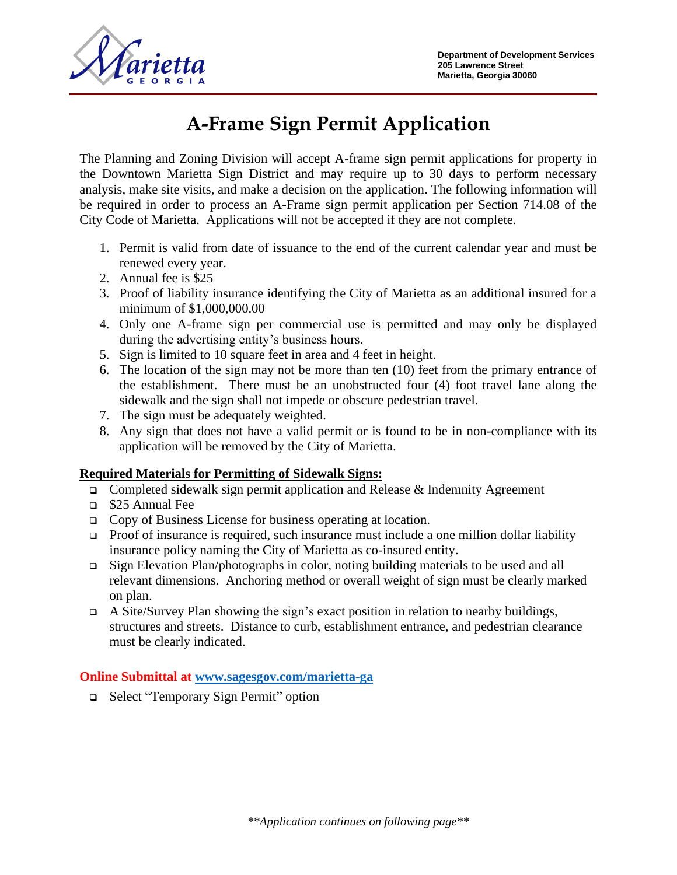

# **A-Frame Sign Permit Application**

The Planning and Zoning Division will accept A-frame sign permit applications for property in the Downtown Marietta Sign District and may require up to 30 days to perform necessary analysis, make site visits, and make a decision on the application. The following information will be required in order to process an A-Frame sign permit application per Section 714.08 of the City Code of Marietta. Applications will not be accepted if they are not complete.

- 1. Permit is valid from date of issuance to the end of the current calendar year and must be renewed every year.
- 2. Annual fee is \$25
- 3. Proof of liability insurance identifying the City of Marietta as an additional insured for a minimum of \$1,000,000.00
- 4. Only one A-frame sign per commercial use is permitted and may only be displayed during the advertising entity's business hours.
- 5. Sign is limited to 10 square feet in area and 4 feet in height.
- 6. The location of the sign may not be more than ten (10) feet from the primary entrance of the establishment. There must be an unobstructed four (4) foot travel lane along the sidewalk and the sign shall not impede or obscure pedestrian travel.
- 7. The sign must be adequately weighted.
- 8. Any sign that does not have a valid permit or is found to be in non-compliance with its application will be removed by the City of Marietta.

### **Required Materials for Permitting of Sidewalk Signs:**

- ❑ Completed sidewalk sign permit application and Release & Indemnity Agreement
- ❑ \$25 Annual Fee
- ❑ Copy of Business License for business operating at location.
- ❑ Proof of insurance is required, such insurance must include a one million dollar liability insurance policy naming the City of Marietta as co-insured entity.
- ❑ Sign Elevation Plan/photographs in color, noting building materials to be used and all relevant dimensions. Anchoring method or overall weight of sign must be clearly marked on plan.
- ❑ A Site/Survey Plan showing the sign's exact position in relation to nearby buildings, structures and streets. Distance to curb, establishment entrance, and pedestrian clearance must be clearly indicated.

### **Online Submittal at [www.sagesgov.com/marietta-ga](http://www.sagesgov.com/marietta-ga)**

❑ Select "Temporary Sign Permit" option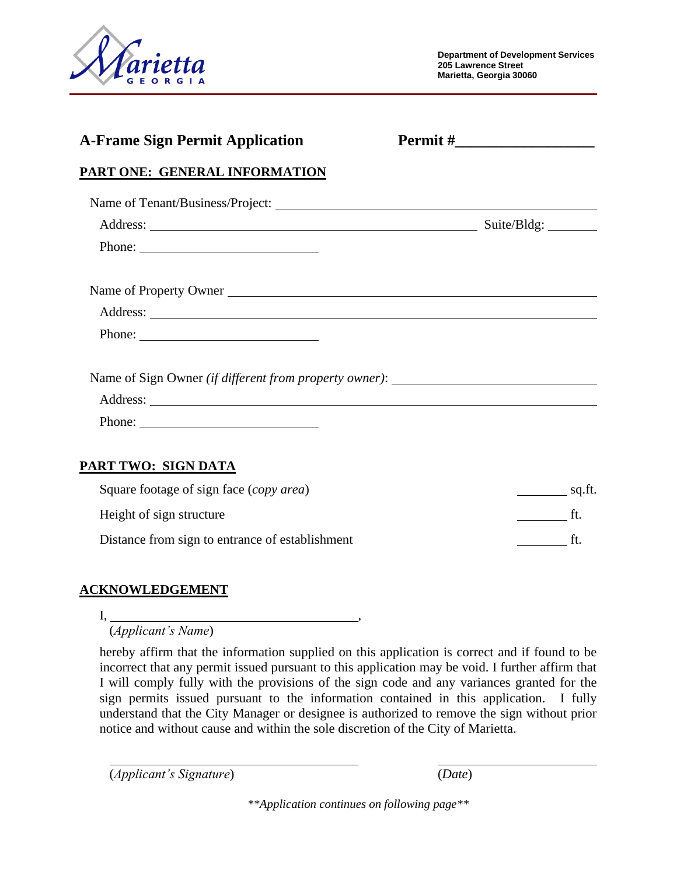

| <b>A-Frame Sign Permit Application</b>                    |  |
|-----------------------------------------------------------|--|
| <b>PART ONE: GENERAL INFORMATION</b>                      |  |
|                                                           |  |
|                                                           |  |
| Phone: $\qquad \qquad$                                    |  |
| Name of Property Owner                                    |  |
|                                                           |  |
| Phone: $\frac{1}{\sqrt{1-\frac{1}{2}} \cdot \frac{1}{2}}$ |  |
|                                                           |  |
|                                                           |  |
| Phone: $\frac{1}{\sqrt{1-\frac{1}{2}} \cdot \frac{1}{2}}$ |  |

## Square footage of sign face (*copy area*) sq.ft. Height of sign structure ft. Distance from sign to entrance of establishment ft.

### **ACKNOWLEDGEMENT**

I, ,

(*Applicant's Name*)

hereby affirm that the information supplied on this application is correct and if found to be incorrect that any permit issued pursuant to this application may be void. I further affirm that I will comply fully with the provisions of the sign code and any variances granted for the sign permits issued pursuant to the information contained in this application. I fully understand that the City Manager or designee is authorized to remove the sign without prior notice and without cause and within the sole discretion of the City of Marietta.

(*Applicant's Signature*) (*Date*)

*\*\*Application continues on following page\*\**